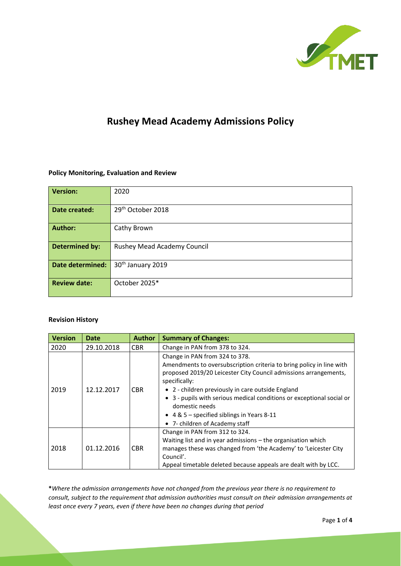

# **Rushey Mead Academy Admissions Policy**

#### **Policy Monitoring, Evaluation and Review**

| <b>Version:</b>         | 2020                               |  |  |
|-------------------------|------------------------------------|--|--|
| Date created:           | 29 <sup>th</sup> October 2018      |  |  |
| <b>Author:</b>          | Cathy Brown                        |  |  |
| <b>Determined by:</b>   | <b>Rushey Mead Academy Council</b> |  |  |
| <b>Date determined:</b> | 30 <sup>th</sup> January 2019      |  |  |
| <b>Review date:</b>     | October 2025*                      |  |  |

#### **Revision History**

| <b>Version</b> | <b>Date</b> | <b>Author</b> | <b>Summary of Changes:</b>                                                                                                                                                                                                                                                                                                                                                                                                    |
|----------------|-------------|---------------|-------------------------------------------------------------------------------------------------------------------------------------------------------------------------------------------------------------------------------------------------------------------------------------------------------------------------------------------------------------------------------------------------------------------------------|
| 2020           | 29.10.2018  | <b>CBR</b>    | Change in PAN from 378 to 324.                                                                                                                                                                                                                                                                                                                                                                                                |
| 2019           | 12.12.2017  | <b>CBR</b>    | Change in PAN from 324 to 378.<br>Amendments to oversubscription criteria to bring policy in line with<br>proposed 2019/20 Leicester City Council admissions arrangements,<br>specifically:<br>• 2 - children previously in care outside England<br>• 3 - pupils with serious medical conditions or exceptional social or<br>domestic needs<br>• $4 & 5$ – specified siblings in Years 8-11<br>• 7- children of Academy staff |
| 2018           | 01.12.2016  | <b>CBR</b>    | Change in PAN from 312 to 324.<br>Waiting list and in year admissions - the organisation which<br>manages these was changed from 'the Academy' to 'Leicester City<br>Council'.<br>Appeal timetable deleted because appeals are dealt with by LCC.                                                                                                                                                                             |

**\****Where the admission arrangements have not changed from the previous year there is no requirement to consult, subject to the requirement that admission authorities must consult on their admission arrangements at least once every 7 years, even if there have been no changes during that period*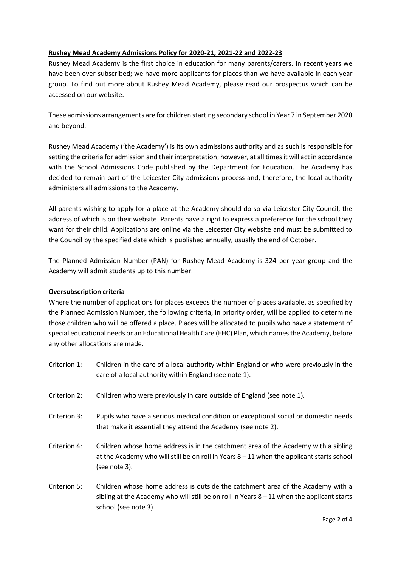## **Rushey Mead Academy Admissions Policy for 2020-21, 2021-22 and 2022-23**

Rushey Mead Academy is the first choice in education for many parents/carers. In recent years we have been over-subscribed; we have more applicants for places than we have available in each year group. To find out more about Rushey Mead Academy, please read our prospectus which can be accessed on our website.

These admissions arrangements are for children starting secondary school in Year 7 in September 2020 and beyond.

Rushey Mead Academy ('the Academy') is its own admissions authority and as such is responsible for setting the criteria for admission and their interpretation; however, at all times it will act in accordance with the School Admissions Code published by the Department for Education. The Academy has decided to remain part of the Leicester City admissions process and, therefore, the local authority administers all admissions to the Academy.

All parents wishing to apply for a place at the Academy should do so via Leicester City Council, the address of which is on their website. Parents have a right to express a preference for the school they want for their child. Applications are online via the Leicester City website and must be submitted to the Council by the specified date which is published annually, usually the end of October.

The Planned Admission Number (PAN) for Rushey Mead Academy is 324 per year group and the Academy will admit students up to this number.

#### **Oversubscription criteria**

Where the number of applications for places exceeds the number of places available, as specified by the Planned Admission Number, the following criteria, in priority order, will be applied to determine those children who will be offered a place. Places will be allocated to pupils who have a statement of special educational needs or an Educational Health Care (EHC) Plan, which names the Academy, before any other allocations are made.

- Criterion 1: Children in the care of a local authority within England or who were previously in the care of a local authority within England (see note 1).
- Criterion 2: Children who were previously in care outside of England (see note 1).
- Criterion 3: Pupils who have a serious medical condition or exceptional social or domestic needs that make it essential they attend the Academy (see note 2).
- Criterion 4: Children whose home address is in the catchment area of the Academy with a sibling at the Academy who will still be on roll in Years 8 – 11 when the applicant starts school (see note 3).
- Criterion 5: Children whose home address is outside the catchment area of the Academy with a sibling at the Academy who will still be on roll in Years 8 – 11 when the applicant starts school (see note 3).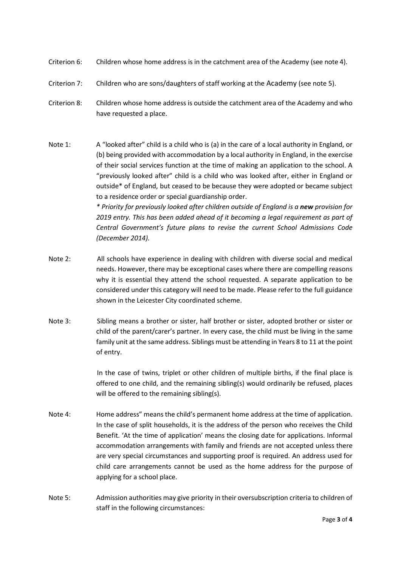- Criterion 6: Children whose home address is in the catchment area of the Academy (see note 4).
- Criterion 7: Children who are sons/daughters of staff working at the Academy (see note 5).
- Criterion 8: Children whose home address is outside the catchment area of the Academy and who have requested a place.
- Note 1: A "looked after" child is a child who is (a) in the care of a local authority in England, or (b) being provided with accommodation by a local authority in England, in the exercise of their social services function at the time of making an application to the school. A "previously looked after" child is a child who was looked after, either in England or outside\* of England, but ceased to be because they were adopted or became subject to a residence order or special guardianship order. *\* Priority for previously looked after children outside of England is a new provision for 2019 entry. This has been added ahead of it becoming a legal requirement as part of Central Government's future plans to revise the current School Admissions Code*
- Note 2: All schools have experience in dealing with children with diverse social and medical needs. However, there may be exceptional cases where there are compelling reasons why it is essential they attend the school requested. A separate application to be considered under this category will need to be made. Please refer to the full guidance shown in the Leicester City coordinated scheme.

*(December 2014).*

Note 3: Sibling means a brother or sister, half brother or sister, adopted brother or sister or child of the parent/carer's partner. In every case, the child must be living in the same family unit at the same address. Siblings must be attending in Years 8 to 11 at the point of entry.

> In the case of twins, triplet or other children of multiple births, if the final place is offered to one child, and the remaining sibling(s) would ordinarily be refused, places will be offered to the remaining sibling(s).

- Note 4: Home address" means the child's permanent home address at the time of application. In the case of split households, it is the address of the person who receives the Child Benefit. 'At the time of application' means the closing date for applications. Informal accommodation arrangements with family and friends are not accepted unless there are very special circumstances and supporting proof is required. An address used for child care arrangements cannot be used as the home address for the purpose of applying for a school place.
- Note 5: Admission authorities may give priority in their oversubscription criteria to children of staff in the following circumstances: